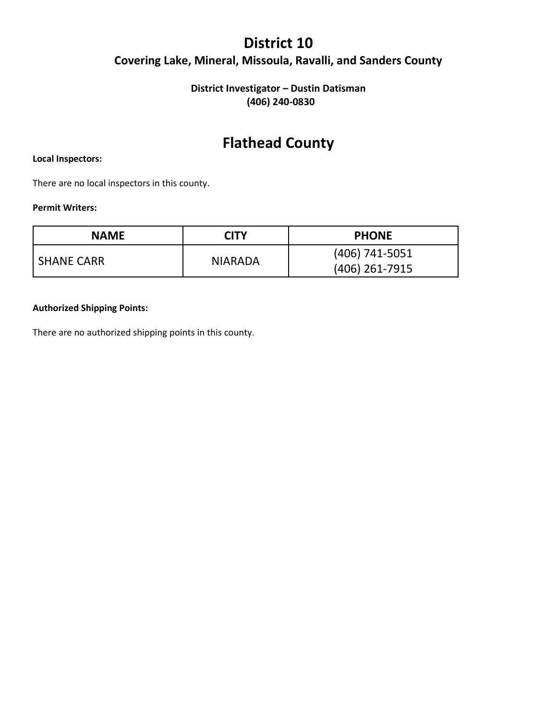## **District 10 Covering Lake, Mineral, Missoula, Ravalli, and Sanders County**

### **District Investigator – Dustin Datisman (406) 240-0830**

## **Flathead County**

#### **Local Inspectors:**

There are no local inspectors in this county.

#### **Permit Writers:**

| <b>NAME</b>       | CITY           | <b>PHONE</b>                     |
|-------------------|----------------|----------------------------------|
| <b>SHANE CARR</b> | <b>NIARADA</b> | (406) 741-5051<br>(406) 261-7915 |

#### **Authorized Shipping Points:**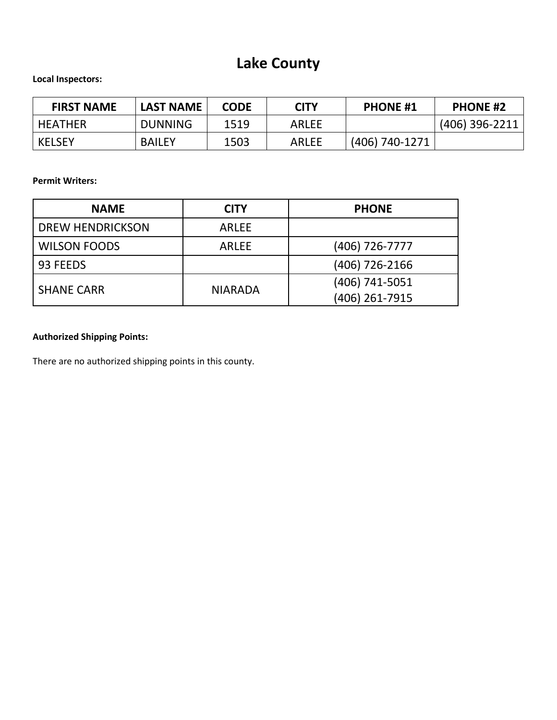# **Lake County**

## **Local Inspectors:**

| <b>FIRST NAME</b> | <b>LAST NAME</b> | <b>CODE</b> | <b>CITY</b>  | <b>PHONE #1</b> | <b>PHONE #2</b> |
|-------------------|------------------|-------------|--------------|-----------------|-----------------|
| <b>HEATHER</b>    | <b>DUNNING</b>   | 1519        | <b>ARLEE</b> |                 | (406) 396-2211  |
| <b>KELSEY</b>     | <b>BAILEY</b>    | 1503        | <b>ARLEE</b> | (406) 740-1271  |                 |

**Permit Writers:**

| <b>NAME</b>             | <b>CITY</b>    | <b>PHONE</b>   |
|-------------------------|----------------|----------------|
| <b>DREW HENDRICKSON</b> | <b>ARLEE</b>   |                |
| <b>WILSON FOODS</b>     | <b>ARLEE</b>   | (406) 726-7777 |
| 93 FEEDS                |                | (406) 726-2166 |
| <b>SHANE CARR</b>       | <b>NIARADA</b> | (406) 741-5051 |
|                         |                | (406) 261-7915 |

## **Authorized Shipping Points:**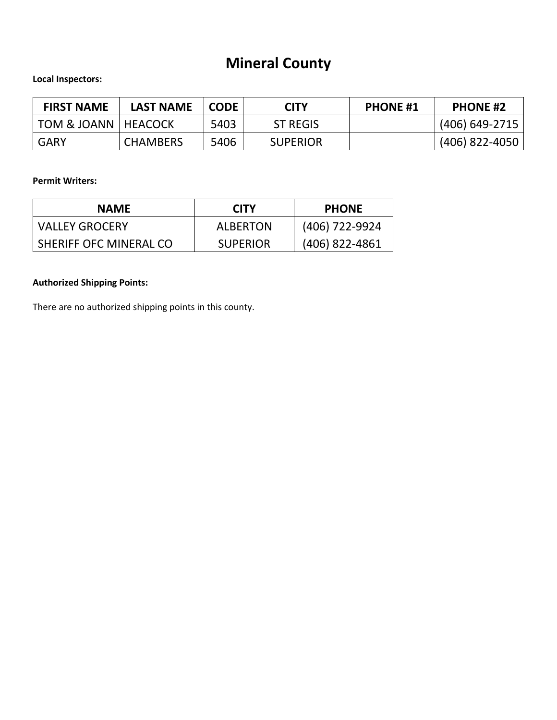# **Mineral County**

## **Local Inspectors:**

| <b>FIRST NAME</b>                | <b>LAST NAME</b> | <b>CODE</b> | CITY            | <b>PHONE #1</b> | <b>PHONE #2</b> |
|----------------------------------|------------------|-------------|-----------------|-----------------|-----------------|
| <b>TOM &amp; JOANN   HEACOCK</b> |                  | 5403        | <b>ST REGIS</b> |                 | (406) 649-2715  |
| <b>GARY</b>                      | <b>CHAMBERS</b>  | 5406        | <b>SUPERIOR</b> |                 | (406) 822-4050  |

#### **Permit Writers:**

| <b>NAME</b>            | <b>CITY</b>     | <b>PHONE</b>   |
|------------------------|-----------------|----------------|
| <b>VALLEY GROCERY</b>  | <b>ALBERTON</b> | (406) 722-9924 |
| SHERIFF OFC MINERAL CO | <b>SUPERIOR</b> | (406) 822-4861 |

## **Authorized Shipping Points:**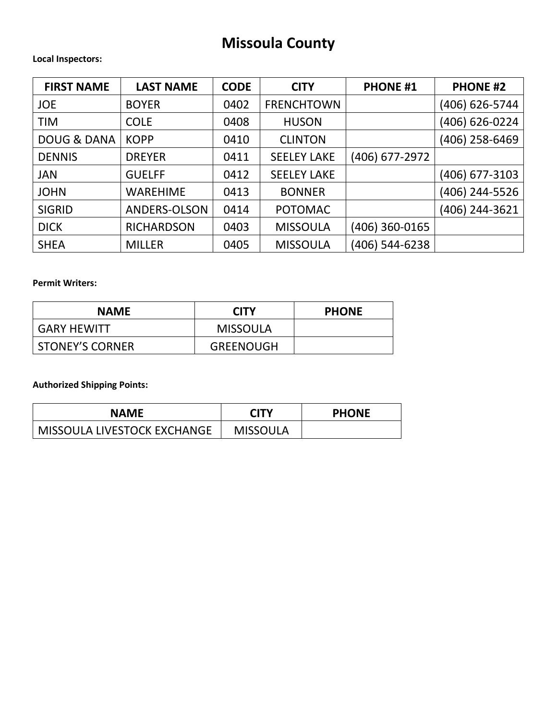## **Missoula County**

#### **Local Inspectors:**

| <b>FIRST NAME</b>      | <b>LAST NAME</b>  | <b>CODE</b> | <b>CITY</b>        | <b>PHONE #1</b> | <b>PHONE #2</b> |
|------------------------|-------------------|-------------|--------------------|-----------------|-----------------|
| <b>JOE</b>             | <b>BOYER</b>      | 0402        | <b>FRENCHTOWN</b>  |                 | (406) 626-5744  |
| <b>TIM</b>             | <b>COLE</b>       | 0408        | <b>HUSON</b>       |                 | (406) 626-0224  |
| <b>DOUG &amp; DANA</b> | <b>KOPP</b>       | 0410        | <b>CLINTON</b>     |                 | (406) 258-6469  |
| <b>DENNIS</b>          | <b>DREYER</b>     | 0411        | <b>SEELEY LAKE</b> | (406) 677-2972  |                 |
| <b>JAN</b>             | <b>GUELFF</b>     | 0412        | <b>SEELEY LAKE</b> |                 | (406) 677-3103  |
| <b>JOHN</b>            | <b>WAREHIME</b>   | 0413        | <b>BONNER</b>      |                 | (406) 244-5526  |
| <b>SIGRID</b>          | ANDERS-OLSON      | 0414        | <b>POTOMAC</b>     |                 | (406) 244-3621  |
| <b>DICK</b>            | <b>RICHARDSON</b> | 0403        | <b>MISSOULA</b>    | (406) 360-0165  |                 |
| <b>SHEA</b>            | <b>MILLER</b>     | 0405        | <b>MISSOULA</b>    | (406) 544-6238  |                 |

### **Permit Writers:**

| <b>NAME</b>            | <b>CITY</b>      | <b>PHONE</b> |
|------------------------|------------------|--------------|
| <b>GARY HEWITT</b>     | MISSOULA         |              |
| <b>STONEY'S CORNER</b> | <b>GREENOUGH</b> |              |

## **Authorized Shipping Points:**

| <b>NAME</b>                 | CITY            | <b>PHONE</b> |
|-----------------------------|-----------------|--------------|
| MISSOULA LIVESTOCK EXCHANGE | <b>MISSOULA</b> |              |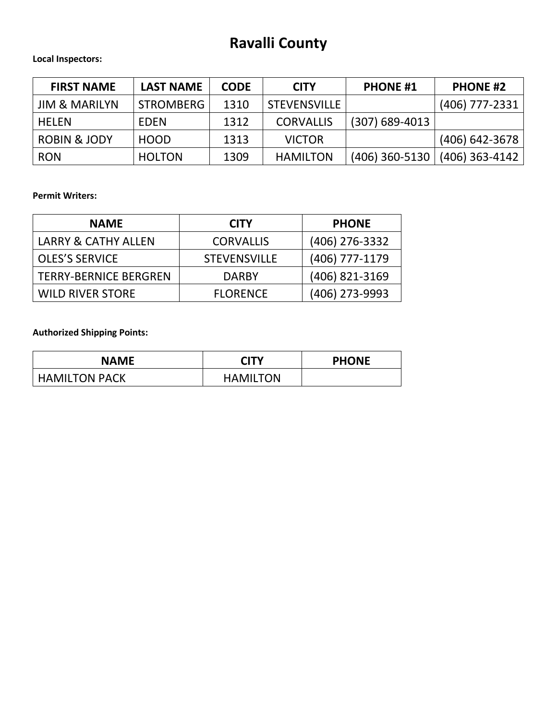## **Ravalli County**

### **Local Inspectors:**

| <b>FIRST NAME</b>        | <b>LAST NAME</b> | <b>CODE</b> | <b>CITY</b>         | <b>PHONE #1</b>  | <b>PHONE #2</b>  |
|--------------------------|------------------|-------------|---------------------|------------------|------------------|
| <b>JIM &amp; MARILYN</b> | <b>STROMBERG</b> | 1310        | <b>STEVENSVILLE</b> |                  | (406) 777-2331   |
| <b>HELEN</b>             | <b>EDEN</b>      | 1312        | <b>CORVALLIS</b>    | $(307)$ 689-4013 |                  |
| <b>ROBIN &amp; JODY</b>  | <b>HOOD</b>      | 1313        | <b>VICTOR</b>       |                  | (406) 642-3678   |
| <b>RON</b>               | <b>HOLTON</b>    | 1309        | <b>HAMILTON</b>     | $(406)$ 360-5130 | $(406)$ 363-4142 |

**Permit Writers:**

| <b>NAME</b>                    | <b>CITY</b>         | <b>PHONE</b>   |
|--------------------------------|---------------------|----------------|
| <b>LARRY &amp; CATHY ALLEN</b> | <b>CORVALLIS</b>    | (406) 276-3332 |
| <b>OLES'S SERVICE</b>          | <b>STEVENSVILLE</b> | (406) 777-1179 |
| <b>TERRY-BERNICE BERGREN</b>   | <b>DARBY</b>        | (406) 821-3169 |
| <b>WILD RIVER STORE</b>        | <b>FLORENCE</b>     | (406) 273-9993 |

**Authorized Shipping Points:**

| <b>NAME</b>          | <b>CITY</b>     | <b>PHONE</b> |
|----------------------|-----------------|--------------|
| <b>HAMILTON PACK</b> | <b>HAMILTON</b> |              |